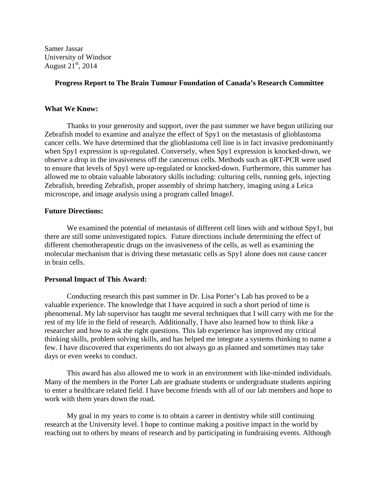Samer Jassar University of Windsor August  $21<sup>st</sup>$ , 2014

## **Progress Report to The Brain Tumour Foundation of Canada's Research Committee**

## **What We Know:**

Thanks to your generosity and support, over the past summer we have begun utilizing our Zebrafish model to examine and analyze the effect of Spy1 on the metastasis of glioblastoma cancer cells. We have determined that the glioblastoma cell line is in fact invasive predominantly when Spy1 expression is up-regulated. Conversely, when Spy1 expression is knocked-down, we observe a drop in the invasiveness off the cancerous cells. Methods such as qRT-PCR were used to ensure that levels of Spy1 were up-regulated or knocked-down. Furthermore, this summer has allowed me to obtain valuable laboratory skills including: culturing cells, running gels, injecting Zebrafish, breeding Zebrafish, proper assembly of shrimp hatchery, imaging using a Leica microscope, and image analysis using a program called ImageJ.

## **Future Directions:**

We examined the potential of metastasis of different cell lines with and without Spy1, but there are still some uninvestigated topics. Future directions include determining the effect of different chemotherapeutic drugs on the invasiveness of the cells, as well as examining the molecular mechanism that is driving these metastatic cells as Spy1 alone does not cause cancer in brain cells.

## **Personal Impact of This Award:**

Conducting research this past summer in Dr. Lisa Porter's Lab has proved to be a valuable experience. The knowledge that I have acquired in such a short period of time is phenomenal. My lab supervisor has taught me several techniques that I will carry with me for the rest of my life in the field of research. Additionally, I have also learned how to think like a researcher and how to ask the right questions. This lab experience has improved my critical thinking skills, problem solving skills, and has helped me integrate a systems thinking to name a few. I have discovered that experiments do not always go as planned and sometimes may take days or even weeks to conduct.

This award has also allowed me to work in an environment with like-minded individuals. Many of the members in the Porter Lab are graduate students or undergraduate students aspiring to enter a healthcare related field. I have become friends with all of our lab members and hope to work with them years down the road.

My goal in my years to come is to obtain a career in dentistry while still continuing research at the University level. I hope to continue making a positive impact in the world by reaching out to others by means of research and by participating in fundraising events. Although